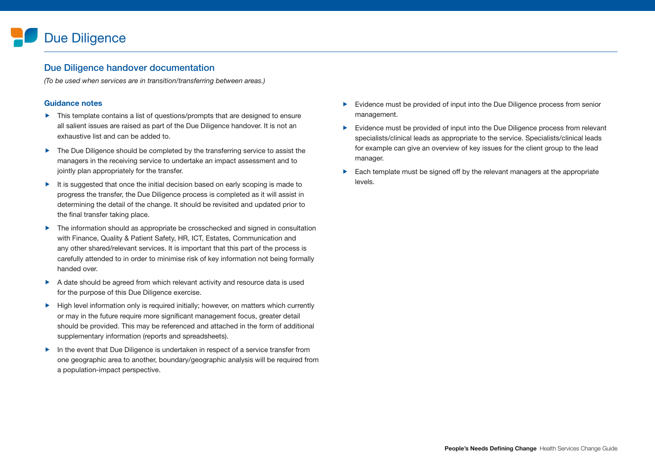# Due Diligence

#### Due Diligence handover documentation

*(To be used when services are in transition/transferring between areas.)*

#### Guidance notes

- ▶ This template contains a list of questions/prompts that are designed to ensure all salient issues are raised as part of the Due Diligence handover. It is not an exhaustive list and can be added to.
- ▶ The Due Diligence should be completed by the transferring service to assist the managers in the receiving service to undertake an impact assessment and to jointly plan appropriately for the transfer.
- $\blacktriangleright$  It is suggested that once the initial decision based on early scoping is made to progress the transfer, the Due Diligence process is completed as it will assist in determining the detail of the change. It should be revisited and updated prior to the final transfer taking place.
- ▶ The information should as appropriate be crosschecked and signed in consultation with Finance, Quality & Patient Safety, HR, ICT, Estates, Communication and any other shared/relevant services. It is important that this part of the process is carefully attended to in order to minimise risk of key information not being formally handed over.
- A date should be agreed from which relevant activity and resource data is used for the purpose of this Due Diligence exercise.
- High level information only is required initially; however, on matters which currently or may in the future require more significant management focus, greater detail should be provided. This may be referenced and attached in the form of additional supplementary information (reports and spreadsheets).
- In the event that Due Diligence is undertaken in respect of a service transfer from one geographic area to another, boundary/geographic analysis will be required from a population-impact perspective.
- Evidence must be provided of input into the Due Diligence process from senior management.
- Evidence must be provided of input into the Due Diligence process from relevant specialists/clinical leads as appropriate to the service. Specialists/clinical leads for example can give an overview of key issues for the client group to the lead manager.
- $\blacktriangleright$  Each template must be signed off by the relevant managers at the appropriate levels.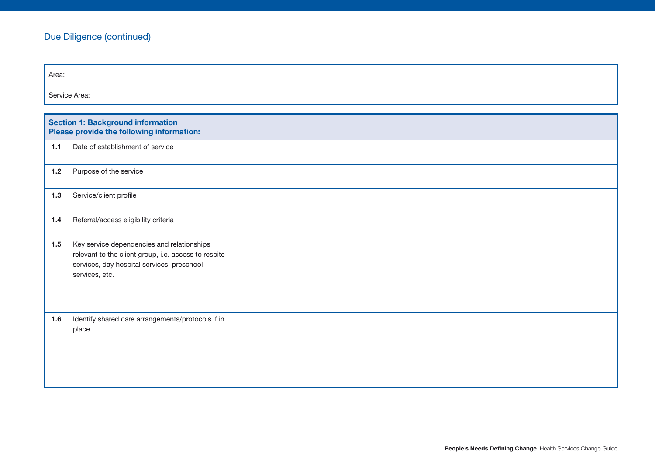| Area:         |                                                                                                                                                                    |  |
|---------------|--------------------------------------------------------------------------------------------------------------------------------------------------------------------|--|
| Service Area: |                                                                                                                                                                    |  |
|               |                                                                                                                                                                    |  |
|               | <b>Section 1: Background information</b><br>Please provide the following information:                                                                              |  |
| $1.1$         | Date of establishment of service                                                                                                                                   |  |
| $1.2$         | Purpose of the service                                                                                                                                             |  |
| $1.3$         | Service/client profile                                                                                                                                             |  |
| $1.4$         | Referral/access eligibility criteria                                                                                                                               |  |
| 1.5           | Key service dependencies and relationships<br>relevant to the client group, i.e. access to respite<br>services, day hospital services, preschool<br>services, etc. |  |
| 1.6           | Identify shared care arrangements/protocols if in<br>place                                                                                                         |  |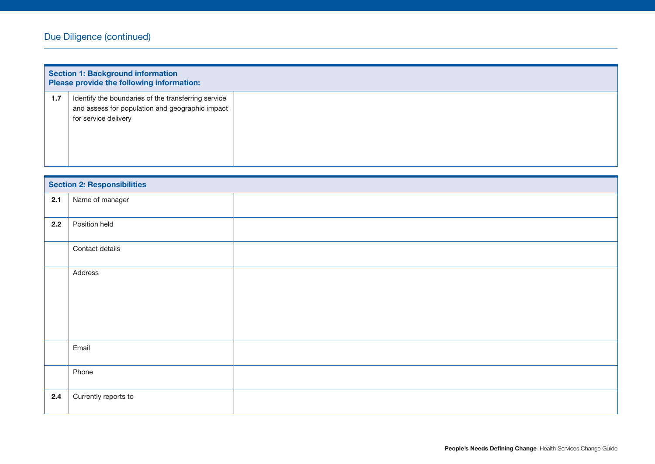| <b>Section 1: Background information</b><br>Please provide the following information: |                                                                                                        |  |
|---------------------------------------------------------------------------------------|--------------------------------------------------------------------------------------------------------|--|
| 1.7                                                                                   | Identify the boundaries of the transferring service<br>and assess for population and geographic impact |  |
|                                                                                       | for service delivery                                                                                   |  |
|                                                                                       |                                                                                                        |  |

|         | <b>Section 2: Responsibilities</b> |  |
|---------|------------------------------------|--|
| 2.1     | Name of manager                    |  |
| 2.2     | Position held                      |  |
|         | Contact details                    |  |
| Address |                                    |  |
|         | Email                              |  |
|         | Phone                              |  |
| 2.4     | Currently reports to               |  |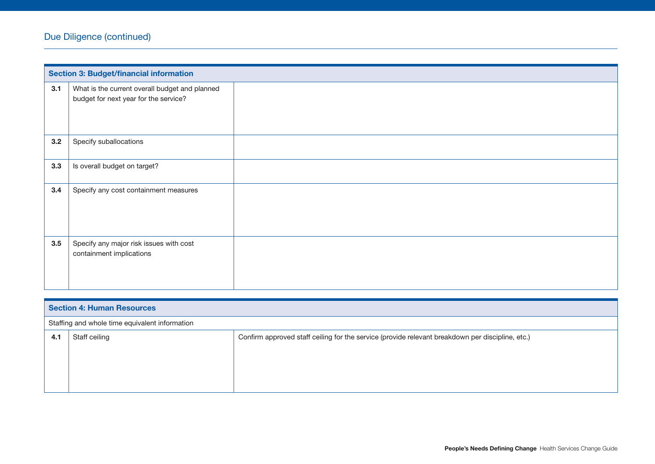|     | <b>Section 3: Budget/financial information</b>                                          |  |
|-----|-----------------------------------------------------------------------------------------|--|
| 3.1 | What is the current overall budget and planned<br>budget for next year for the service? |  |
| 3.2 | Specify suballocations                                                                  |  |
| 3.3 | Is overall budget on target?                                                            |  |
| 3.4 | Specify any cost containment measures                                                   |  |
| 3.5 | Specify any major risk issues with cost<br>containment implications                     |  |

| <b>Section 4: Human Resources</b>                                                                                        |                                                |  |
|--------------------------------------------------------------------------------------------------------------------------|------------------------------------------------|--|
|                                                                                                                          | Staffing and whole time equivalent information |  |
| Confirm approved staff ceiling for the service (provide relevant breakdown per discipline, etc.)<br>Staff ceiling<br>4.1 |                                                |  |
|                                                                                                                          |                                                |  |
|                                                                                                                          |                                                |  |
|                                                                                                                          |                                                |  |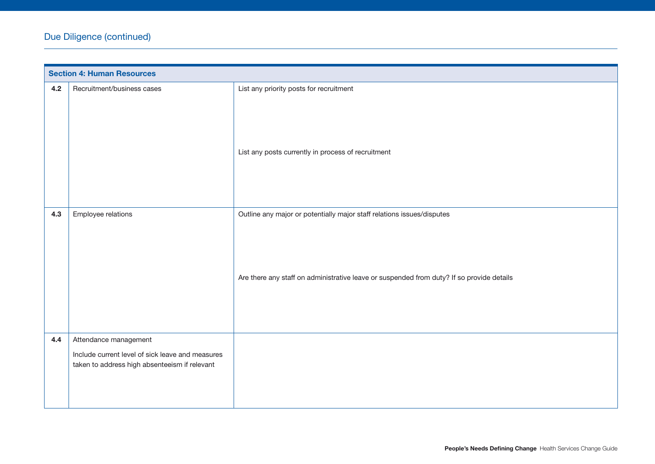|     | <b>Section 4: Human Resources</b>                                         |                                                                                           |
|-----|---------------------------------------------------------------------------|-------------------------------------------------------------------------------------------|
| 4.2 | Recruitment/business cases                                                | List any priority posts for recruitment                                                   |
|     |                                                                           | List any posts currently in process of recruitment                                        |
| 4.3 | Employee relations                                                        | Outline any major or potentially major staff relations issues/disputes                    |
|     |                                                                           | Are there any staff on administrative leave or suspended from duty? If so provide details |
| 4.4 | Attendance management<br>Include current level of sick leave and measures |                                                                                           |
|     | taken to address high absenteeism if relevant                             |                                                                                           |
|     |                                                                           |                                                                                           |
|     |                                                                           |                                                                                           |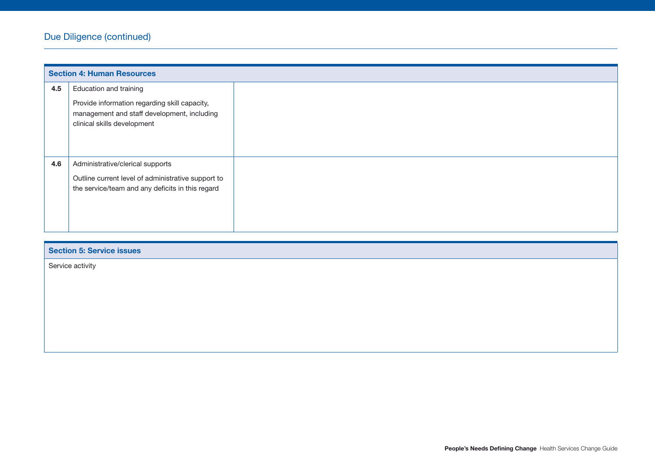| <b>Section 5: Service issues</b> |  |
|----------------------------------|--|
| Service activity                 |  |
|                                  |  |
|                                  |  |
|                                  |  |
|                                  |  |
|                                  |  |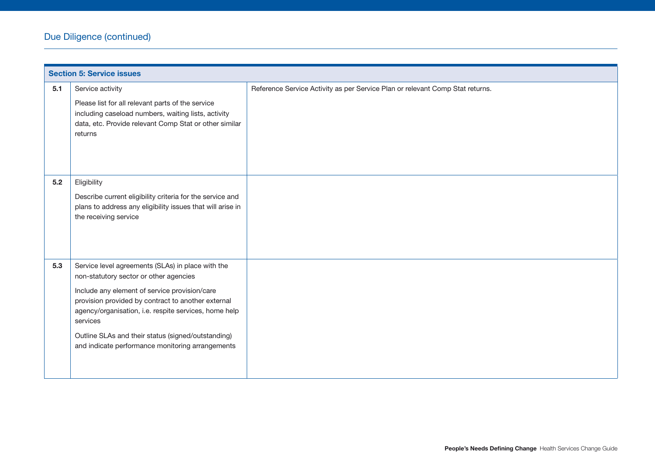|     | <b>Section 5: Service issues</b>                                                                                                                                                                                                                                                                                                                                                  |                                                                               |
|-----|-----------------------------------------------------------------------------------------------------------------------------------------------------------------------------------------------------------------------------------------------------------------------------------------------------------------------------------------------------------------------------------|-------------------------------------------------------------------------------|
| 5.1 | Service activity<br>Please list for all relevant parts of the service<br>including caseload numbers, waiting lists, activity<br>data, etc. Provide relevant Comp Stat or other similar<br>returns                                                                                                                                                                                 | Reference Service Activity as per Service Plan or relevant Comp Stat returns. |
| 5.2 | Eligibility<br>Describe current eligibility criteria for the service and<br>plans to address any eligibility issues that will arise in<br>the receiving service                                                                                                                                                                                                                   |                                                                               |
| 5.3 | Service level agreements (SLAs) in place with the<br>non-statutory sector or other agencies<br>Include any element of service provision/care<br>provision provided by contract to another external<br>agency/organisation, i.e. respite services, home help<br>services<br>Outline SLAs and their status (signed/outstanding)<br>and indicate performance monitoring arrangements |                                                                               |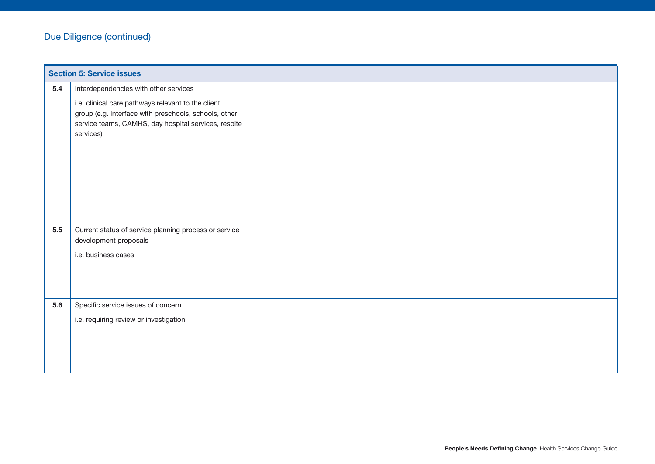|     | <b>Section 5: Service issues</b>                                                                                                                                                 |  |
|-----|----------------------------------------------------------------------------------------------------------------------------------------------------------------------------------|--|
| 5.4 | Interdependencies with other services                                                                                                                                            |  |
|     | i.e. clinical care pathways relevant to the client<br>group (e.g. interface with preschools, schools, other<br>service teams, CAMHS, day hospital services, respite<br>services) |  |
| 5.5 | Current status of service planning process or service<br>development proposals                                                                                                   |  |
|     | i.e. business cases                                                                                                                                                              |  |
|     |                                                                                                                                                                                  |  |
|     |                                                                                                                                                                                  |  |
|     |                                                                                                                                                                                  |  |
| 5.6 | Specific service issues of concern                                                                                                                                               |  |
|     | i.e. requiring review or investigation                                                                                                                                           |  |
|     |                                                                                                                                                                                  |  |
|     |                                                                                                                                                                                  |  |
|     |                                                                                                                                                                                  |  |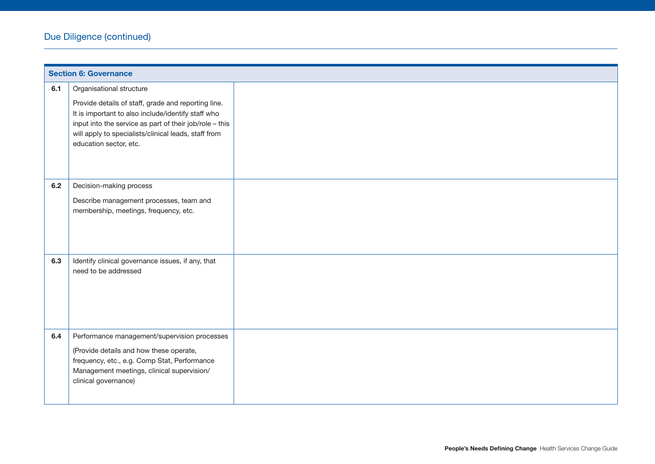|     | <b>Section 6: Governance</b>                                                                                                              |  |
|-----|-------------------------------------------------------------------------------------------------------------------------------------------|--|
| 6.1 | Organisational structure<br>Provide details of staff, grade and reporting line.<br>It is important to also include/identify staff who     |  |
|     | input into the service as part of their job/role - this<br>will apply to specialists/clinical leads, staff from<br>education sector, etc. |  |
| 6.2 | Decision-making process                                                                                                                   |  |
|     | Describe management processes, team and<br>membership, meetings, frequency, etc.                                                          |  |
|     |                                                                                                                                           |  |
| 6.3 | Identify clinical governance issues, if any, that<br>need to be addressed                                                                 |  |
|     |                                                                                                                                           |  |
|     |                                                                                                                                           |  |
| 6.4 | Performance management/supervision processes                                                                                              |  |
|     | (Provide details and how these operate,<br>frequency, etc., e.g. Comp Stat, Performance                                                   |  |
|     | Management meetings, clinical supervision/                                                                                                |  |
|     | clinical governance)                                                                                                                      |  |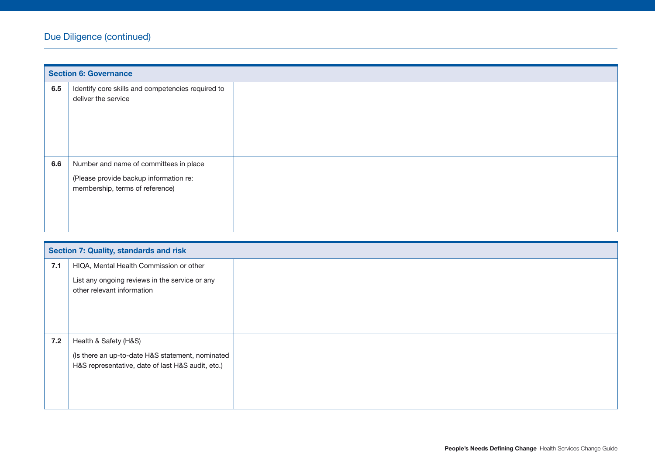|     | <b>Section 6: Governance</b>                                                                                        |
|-----|---------------------------------------------------------------------------------------------------------------------|
| 6.5 | Identify core skills and competencies required to<br>deliver the service                                            |
| 6.6 | Number and name of committees in place<br>(Please provide backup information re:<br>membership, terms of reference) |

|     | <b>Section 7: Quality, standards and risk</b>                                                                                  |  |
|-----|--------------------------------------------------------------------------------------------------------------------------------|--|
| 7.1 | HIQA, Mental Health Commission or other<br>List any ongoing reviews in the service or any<br>other relevant information        |  |
| 7.2 | Health & Safety (H&S)<br>(Is there an up-to-date H&S statement, nominated<br>H&S representative, date of last H&S audit, etc.) |  |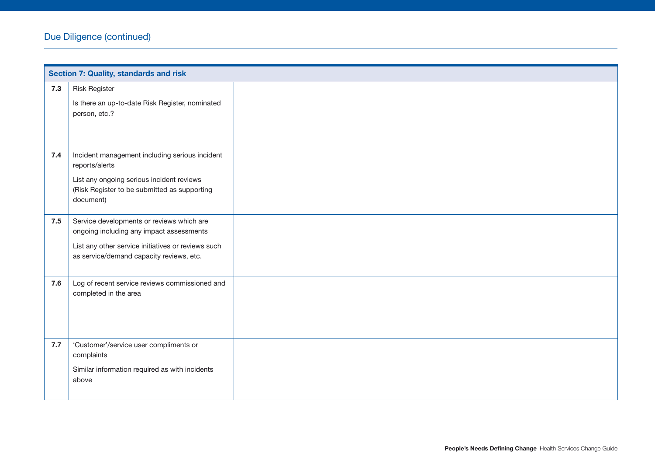|     | <b>Section 7: Quality, standards and risk</b>                                                                                                                                           |  |  |
|-----|-----------------------------------------------------------------------------------------------------------------------------------------------------------------------------------------|--|--|
| 7.3 | <b>Risk Register</b><br>Is there an up-to-date Risk Register, nominated<br>person, etc.?                                                                                                |  |  |
| 7.4 | Incident management including serious incident<br>reports/alerts<br>List any ongoing serious incident reviews<br>(Risk Register to be submitted as supporting<br>document)              |  |  |
| 7.5 | Service developments or reviews which are<br>ongoing including any impact assessments<br>List any other service initiatives or reviews such<br>as service/demand capacity reviews, etc. |  |  |
| 7.6 | Log of recent service reviews commissioned and<br>completed in the area                                                                                                                 |  |  |
| 7.7 | 'Customer'/service user compliments or<br>complaints<br>Similar information required as with incidents<br>above                                                                         |  |  |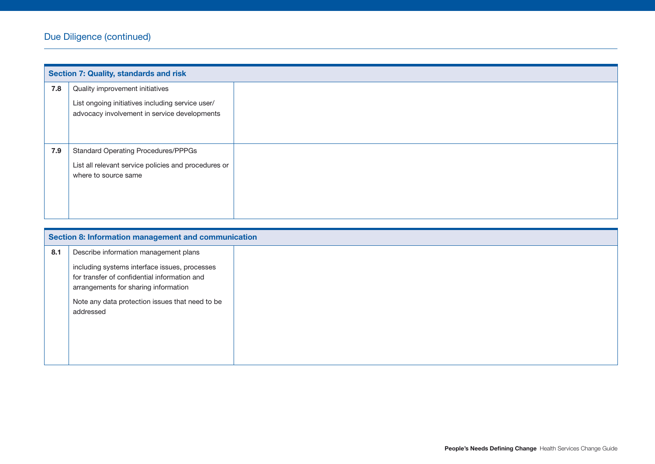|     | <b>Section 7: Quality, standards and risk</b>                                                    |  |
|-----|--------------------------------------------------------------------------------------------------|--|
| 7.8 | Quality improvement initiatives                                                                  |  |
|     | List ongoing initiatives including service user/<br>advocacy involvement in service developments |  |
| 7.9 | <b>Standard Operating Procedures/PPPGs</b>                                                       |  |
|     | List all relevant service policies and procedures or<br>where to source same                     |  |
|     |                                                                                                  |  |

| Section 8: Information management and communication |                                                                                                                                                                                                       |  |
|-----------------------------------------------------|-------------------------------------------------------------------------------------------------------------------------------------------------------------------------------------------------------|--|
| 8.1                                                 | Describe information management plans                                                                                                                                                                 |  |
|                                                     | including systems interface issues, processes<br>for transfer of confidential information and<br>arrangements for sharing information<br>Note any data protection issues that need to be<br>addressed |  |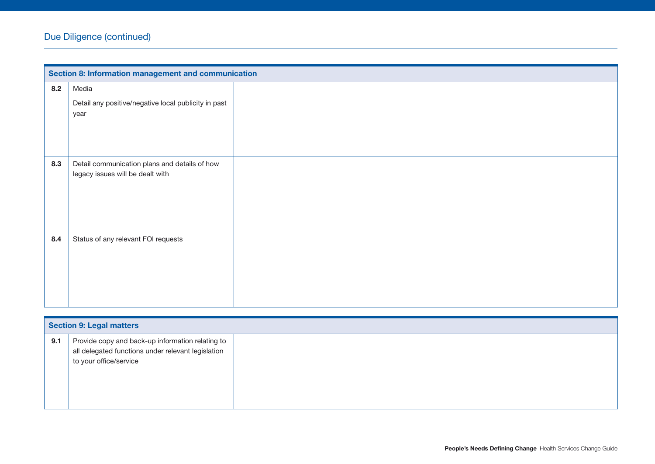|     | Section 8: Information management and communication                               |  |  |
|-----|-----------------------------------------------------------------------------------|--|--|
| 8.2 | Media                                                                             |  |  |
|     | Detail any positive/negative local publicity in past<br>year                      |  |  |
| 8.3 | Detail communication plans and details of how<br>legacy issues will be dealt with |  |  |
| 8.4 | Status of any relevant FOI requests                                               |  |  |

|     | <b>Section 9: Legal matters</b>                                                                                                  |  |  |
|-----|----------------------------------------------------------------------------------------------------------------------------------|--|--|
| 9.1 | Provide copy and back-up information relating to<br>all delegated functions under relevant legislation<br>to your office/service |  |  |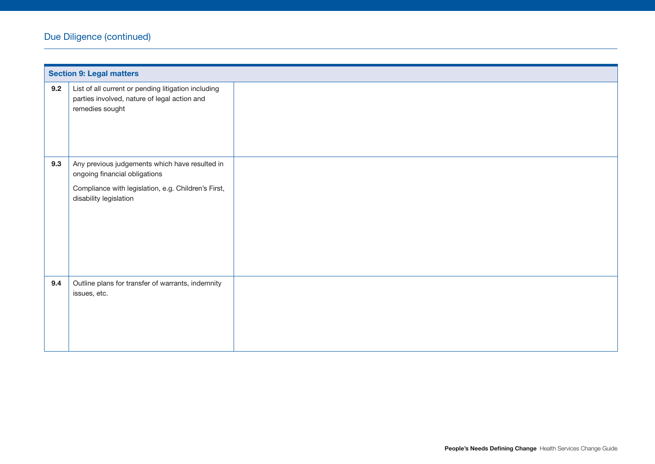|     | <b>Section 9: Legal matters</b>                                                                                                                                  |  |  |
|-----|------------------------------------------------------------------------------------------------------------------------------------------------------------------|--|--|
| 9.2 | List of all current or pending litigation including<br>parties involved, nature of legal action and<br>remedies sought                                           |  |  |
| 9.3 | Any previous judgements which have resulted in<br>ongoing financial obligations<br>Compliance with legislation, e.g. Children's First,<br>disability legislation |  |  |
|     |                                                                                                                                                                  |  |  |
| 9.4 | Outline plans for transfer of warrants, indemnity<br>issues, etc.                                                                                                |  |  |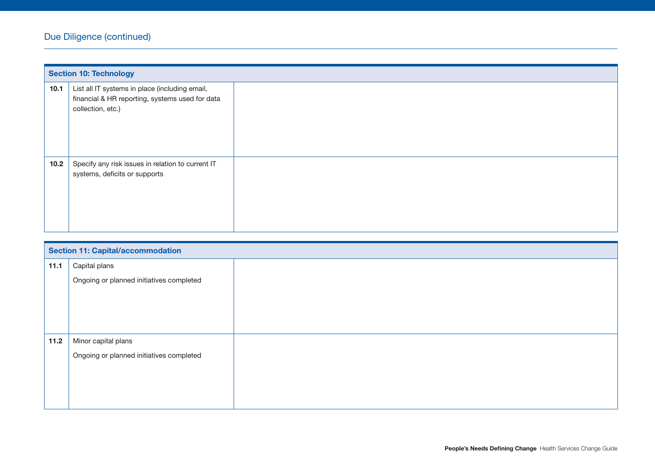|      | <b>Section 10: Technology</b>                                                                                          |  |  |
|------|------------------------------------------------------------------------------------------------------------------------|--|--|
| 10.1 | List all IT systems in place (including email,<br>financial & HR reporting, systems used for data<br>collection, etc.) |  |  |
| 10.2 | Specify any risk issues in relation to current IT<br>systems, deficits or supports                                     |  |  |

| <b>Section 11: Capital/accommodation</b> |  |  |
|------------------------------------------|--|--|
| Capital plans                            |  |  |
| Ongoing or planned initiatives completed |  |  |
|                                          |  |  |
|                                          |  |  |
|                                          |  |  |
| Minor capital plans                      |  |  |
| Ongoing or planned initiatives completed |  |  |
|                                          |  |  |
|                                          |  |  |
|                                          |  |  |
|                                          |  |  |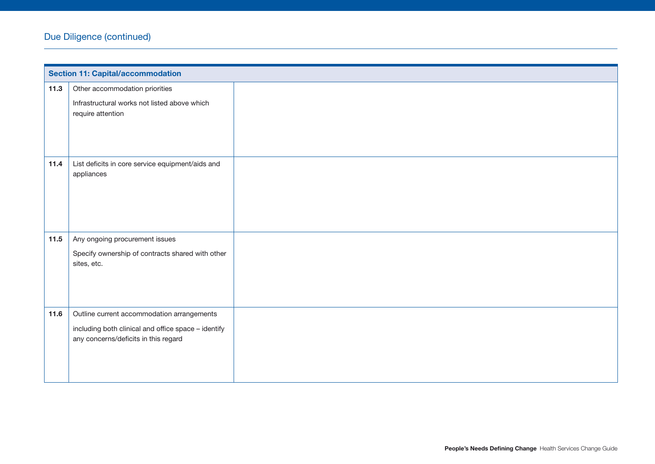|        | <b>Section 11: Capital/accommodation</b>                                                    |  |  |
|--------|---------------------------------------------------------------------------------------------|--|--|
| 11.3   | Other accommodation priorities<br>Infrastructural works not listed above which              |  |  |
|        | require attention                                                                           |  |  |
|        |                                                                                             |  |  |
| 11.4   | List deficits in core service equipment/aids and<br>appliances                              |  |  |
|        |                                                                                             |  |  |
|        |                                                                                             |  |  |
| 11.5   | Any ongoing procurement issues                                                              |  |  |
|        | Specify ownership of contracts shared with other                                            |  |  |
|        | sites, etc.                                                                                 |  |  |
|        |                                                                                             |  |  |
|        |                                                                                             |  |  |
| $11.6$ | Outline current accommodation arrangements                                                  |  |  |
|        | including both clinical and office space - identify<br>any concerns/deficits in this regard |  |  |
|        |                                                                                             |  |  |
|        |                                                                                             |  |  |
|        |                                                                                             |  |  |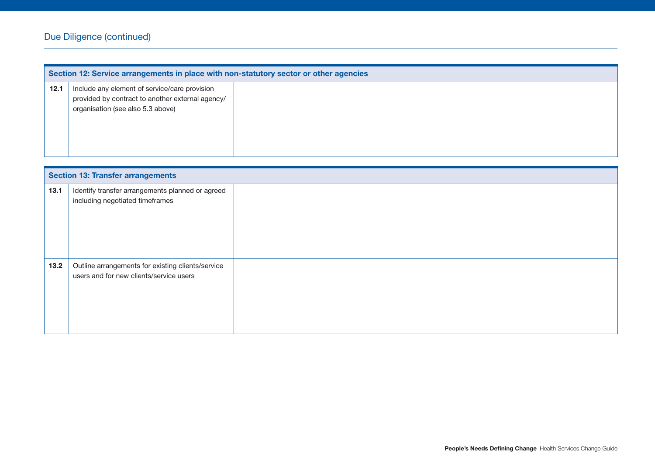|      | Section 12: Service arrangements in place with non-statutory sector or other agencies                                                  |  |  |
|------|----------------------------------------------------------------------------------------------------------------------------------------|--|--|
| 12.1 | Include any element of service/care provision<br>provided by contract to another external agency/<br>organisation (see also 5.3 above) |  |  |

|        | <b>Section 13: Transfer arrangements</b>                                                     |  |  |
|--------|----------------------------------------------------------------------------------------------|--|--|
| 13.1   | Identify transfer arrangements planned or agreed<br>including negotiated timeframes          |  |  |
| $13.2$ | Outline arrangements for existing clients/service<br>users and for new clients/service users |  |  |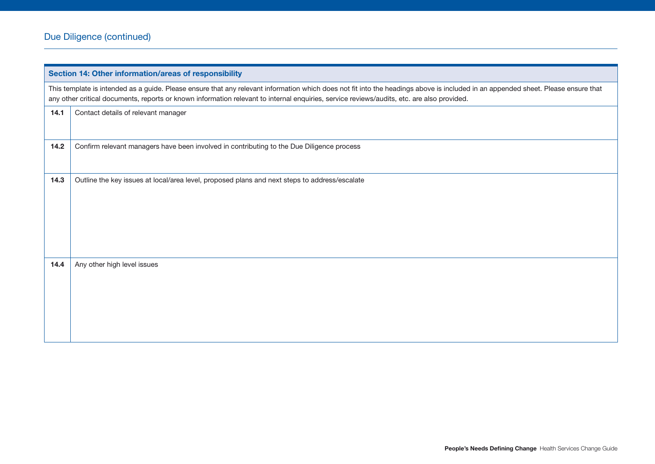| Section 14: Other information/areas of responsibility                                                                                                                                                                                                                                                                           |                                                                                               |  |
|---------------------------------------------------------------------------------------------------------------------------------------------------------------------------------------------------------------------------------------------------------------------------------------------------------------------------------|-----------------------------------------------------------------------------------------------|--|
| This template is intended as a guide. Please ensure that any relevant information which does not fit into the headings above is included in an appended sheet. Please ensure that<br>any other critical documents, reports or known information relevant to internal enquiries, service reviews/audits, etc. are also provided. |                                                                                               |  |
| 14.1                                                                                                                                                                                                                                                                                                                            | Contact details of relevant manager                                                           |  |
| 14.2                                                                                                                                                                                                                                                                                                                            | Confirm relevant managers have been involved in contributing to the Due Diligence process     |  |
| 14.3                                                                                                                                                                                                                                                                                                                            | Outline the key issues at local/area level, proposed plans and next steps to address/escalate |  |
| 14.4                                                                                                                                                                                                                                                                                                                            | Any other high level issues                                                                   |  |